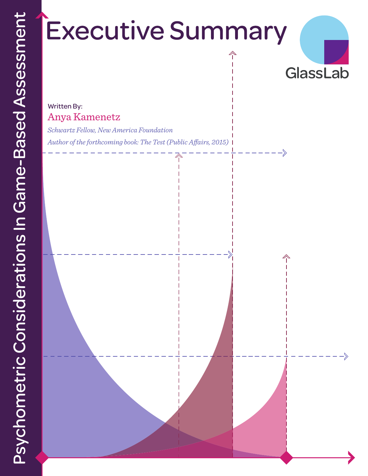# **Executive Summary**



### Written By: Anya Kamenetz

*Schwartz Fellow, New America Foundation Author of the forthcoming book: The Test (Public Affairs, 2015)*

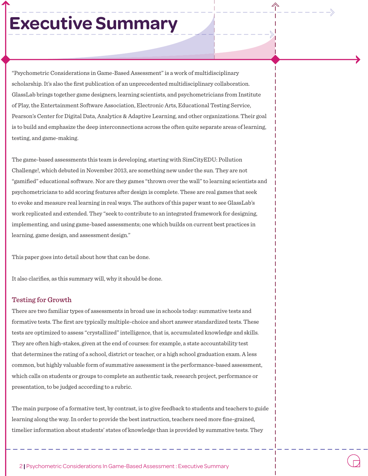## **Executive Summary**

"Psychometric Considerations in Game-Based Assessment" is a work of multidisciplinary scholarship. It's also the first publication of an unprecedented multidisciplinary collaboration. GlassLab brings together game designers, learning scientists, and psychometricians from Institute of Play, the Entertainment Software Association, Electronic Arts, Educational Testing Service, Pearson's Center for Digital Data, Analytics & Adaptive Learning, and other organizations. Their goal is to build and emphasize the deep interconnections across the often quite separate areas of learning, testing, and game-making.

The game-based assessments this team is developing, starting with SimCityEDU: Pollution Challenge!, which debuted in November 2013, are something new under the sun. They are not "gamified" educational software. Nor are they games "thrown over the wall" to learning scientists and psychometricians to add scoring features after design is complete. These are real games that seek to evoke and measure real learning in real ways. The authors of this paper want to see GlassLab's work replicated and extended. They "seek to contribute to an integrated framework for designing, implementing, and using game-based assessments; one which builds on current best practices in learning, game design, and assessment design."

This paper goes into detail about how that can be done.

It also clarifies, as this summary will, why it should be done.

#### Testing for Growth

There are two familiar types of assessments in broad use in schools today: summative tests and formative tests. The first are typically multiple-choice and short answer standardized tests. These tests are optimized to assess "crystallized" intelligence, that is, accumulated knowledge and skills. They are often high-stakes, given at the end of courses: for example, a state accountability test that determines the rating of a school, district or teacher, or a high school graduation exam. A less common, but highly valuable form of summative assessment is the performance-based assessment, which calls on students or groups to complete an authentic task, research project, performance or presentation, to be judged according to a rubric.

The main purpose of a formative test, by contrast, is to give feedback to students and teachers to guide learning along the way. In order to provide the best instruction, teachers need more fine-grained, timelier information about students' states of knowledge than is provided by summative tests. They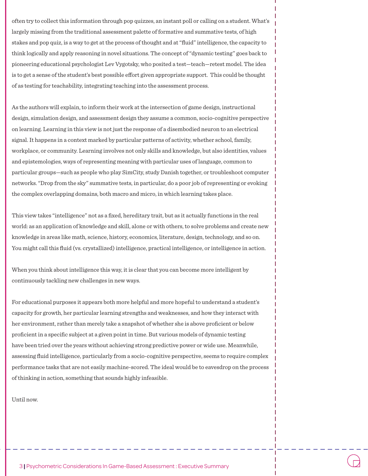often try to collect this information through pop quizzes, an instant poll or calling on a student. What's largely missing from the traditional assessment palette of formative and summative tests, of high stakes and pop quiz, is a way to get at the process of thought and at "fluid" intelligence, the capacity to think logically and apply reasoning in novel situations. The concept of "dynamic testing" goes back to pioneering educational psychologist Lev Vygotsky, who posited a test—teach—retest model. The idea is to get a sense of the student's best possible effort given appropriate support. This could be thought of as testing for teachability, integrating teaching into the assessment process.

As the authors will explain, to inform their work at the intersection of game design, instructional design, simulation design, and assessment design they assume a common, socio-cognitive perspective on learning. Learning in this view is not just the response of a disembodied neuron to an electrical signal. It happens in a context marked by particular patterns of activity, whether school, family, workplace, or community. Learning involves not only skills and knowledge, but also identities, values and epistemologies, ways of representing meaning with particular uses of language, common to particular groups—such as people who play SimCity, study Danish together, or troubleshoot computer networks. "Drop from the sky" summative tests, in particular, do a poor job of representing or evoking the complex overlapping domains, both macro and micro, in which learning takes place.

This view takes "intelligence" not as a fixed, hereditary trait, but as it actually functions in the real world: as an application of knowledge and skill, alone or with others, to solve problems and create new knowledge in areas like math, science, history, economics, literature, design, technology, and so on. You might call this fluid (vs. crystallized) intelligence, practical intelligence, or intelligence in action.

When you think about intelligence this way, it is clear that you can become more intelligent by continuously tackling new challenges in new ways.

For educational purposes it appears both more helpful and more hopeful to understand a student's capacity for growth, her particular learning strengths and weaknesses, and how they interact with her environment, rather than merely take a snapshot of whether she is above proficient or below proficient in a specific subject at a given point in time. But various models of dynamic testing have been tried over the years without achieving strong predictive power or wide use. Meanwhile, assessing fluid intelligence, particularly from a socio-cognitive perspective, seems to require complex performance tasks that are not easily machine-scored. The ideal would be to eavesdrop on the process of thinking in action, something that sounds highly infeasible.

Until now.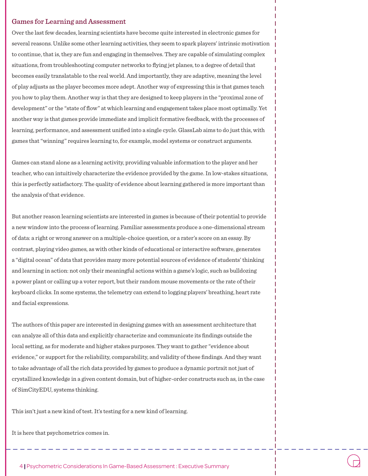#### Games for Learning and Assessment

Over the last few decades, learning scientists have become quite interested in electronic games for several reasons. Unlike some other learning activities, they seem to spark players' intrinsic motivation to continue, that is, they are fun and engaging in themselves. They are capable of simulating complex situations, from troubleshooting computer networks to flying jet planes, to a degree of detail that becomes easily translatable to the real world. And importantly, they are adaptive, meaning the level of play adjusts as the player becomes more adept. Another way of expressing this is that games teach you how to play them. Another way is that they are designed to keep players in the "proximal zone of development" or the "state of flow" at which learning and engagement takes place most optimally. Yet another way is that games provide immediate and implicit formative feedback, with the processes of learning, performance, and assessment unified into a single cycle. GlassLab aims to do just this, with games that "winning" requires learning to, for example, model systems or construct arguments.

Games can stand alone as a learning activity, providing valuable information to the player and her teacher, who can intuitively characterize the evidence provided by the game. In low-stakes situations, this is perfectly satisfactory. The quality of evidence about learning gathered is more important than the analysis of that evidence.

But another reason learning scientists are interested in games is because of their potential to provide a new window into the process of learning. Familiar assessments produce a one-dimensional stream of data: a right or wrong answer on a multiple-choice question, or a rater's score on an essay. By contrast, playing video games, as with other kinds of educational or interactive software, generates a "digital ocean" of data that provides many more potential sources of evidence of students' thinking and learning in action: not only their meaningful actions within a game's logic, such as bulldozing a power plant or calling up a voter report, but their random mouse movements or the rate of their keyboard clicks. In some systems, the telemetry can extend to logging players' breathing, heart rate and facial expressions.

The authors of this paper are interested in designing games with an assessment architecture that can analyze all of this data and explicitly characterize and communicate its findings outside the local setting, as for moderate and higher stakes purposes. They want to gather "evidence about evidence," or support for the reliability, comparability, and validity of these findings. And they want to take advantage of all the rich data provided by games to produce a dynamic portrait not just of crystallized knowledge in a given content domain, but of higher-order constructs such as, in the case of SimCityEDU, systems thinking.

This isn't just a new kind of test. It's testing for a new kind of learning.

It is here that psychometrics comes in.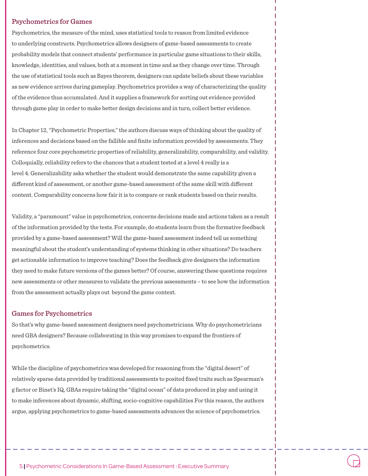#### Psychometrics for Games

Psychometrics, the measure of the mind, uses statistical tools to reason from limited evidence to underlying constructs. Psychometrics allows designers of game-based assessments to create probability models that connect students' performance in particular game situations to their skills, knowledge, identities, and values, both at a moment in time and as they change over time. Through the use of statistical tools such as Bayes theorem, designers can update beliefs about these variables as new evidence arrives during gameplay. Psychometrics provides a way of characterizing the quality of the evidence thus accumulated. And it supplies a framework for sorting out evidence provided through game play in order to make better design decisions and in turn, collect better evidence.

In Chapter 12, "Psychometric Properties," the authors discuss ways of thinking about the quality of inferences and decisions based on the fallible and finite information provided by assessments. They reference four core psychometric properties of reliability, generalizability, comparability, and validity. Colloquially, reliability refers to the chances that a student tested at a level 4 really is a level 4. Generalizability asks whether the student would demonstrate the same capability given a different kind of assessment, or another game-based assessment of the same skill with different content. Comparability concerns how fair it is to compare or rank students based on their results.

Validity, a "paramount" value in psychometrics, concerns decisions made and actions taken as a result of the information provided by the tests. For example, do students learn from the formative feedback provided by a game-based assessment? Will the game-based assessment indeed tell us something meaningful about the student's understanding of systems thinking in other situations? Do teachers get actionable information to improve teaching? Does the feedback give designers the information they need to make future versions of the games better? Of course, answering these questions requires new assessments or other measures to validate the previous assessments – to see how the information from the assessment actually plays out beyond the game context.

#### Games for Psychometrics

So that's why game-based assessment designers need psychometricians. Why do psychometricians need GBA designers? Because collaborating in this way promises to expand the frontiers of psychometrics.

While the discipline of psychometrics was developed for reasoning from the "digital desert" of relatively sparse data provided by traditional assessments to posited fixed traits such as Spearman's g factor or Binet's IQ, GBAs require taking the "digital ocean" of data produced in play and using it to make inferences about dynamic, shifting, socio-cognitive capabilities For this reason, the authors argue, applying psychometrics to game-based assessments advances the science of psychometrics.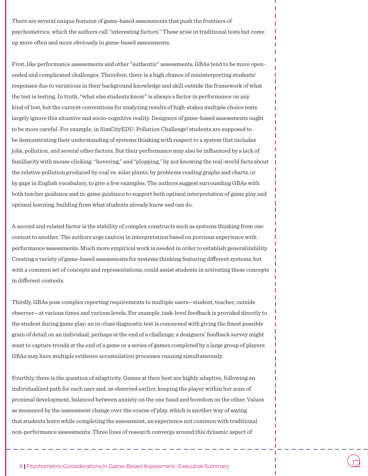There are several unique features of game-based assessments that push the frontiers of psychometrics, which the authors call "interesting factors." These arise in traditional tests but come up more often and more obviously in game-based assessments.

First, like performance assessments and other "authentic" assessments, GBAs tend to be more openended and complicated challenges. Therefore, there is a high chance of misinterpreting students' responses due to variations in their background knowledge and skill outside the framework of what the test is testing. In truth, "what else students know" is always a factor in performance on any kind of test, but the current conventions for analyzing results of high-stakes multiple choice tests largely ignore this situative and socio-cognitive reality. Designers of game-based assessments ought to be more careful. For example, in SimCityEDU: Pollution Challenge! students are supposed to be demonstrating their understanding of systems thinking with respect to a system that includes jobs, pollution, and several other factors. But their performance may also be influenced by a lack of familiarity with mouse clicking, "hovering," and "plopping," by not knowing the real-world facts about the relative pollution produced by coal vs. solar plants, by problems reading graphs and charts, or by gaps in English vocabulary, to give a few examples. The authors suggest surrounding GBAs with both teacher guidance and in-game guidance to support both optimal interpretation of game play and optimal learning, building from what students already know and can do.

A second and related factor is the stability of complex constructs such as systems thinking from one context to another. The authors urge caution in interpretation based on previous experience with performance assessments. Much more empirical work is needed in order to establish generalizability. Creating a variety of game-based assessments for systems thinking featuring different systems, but with a common set of concepts and representations, could assist students in activating these concepts in different contexts.

Thirdly, GBAs pose complex reporting requirements to multiple users—student, teacher, outside observer—at various times and various levels. For example, task-level feedback is provided directly to the student during game play; an in-class diagnostic test is concerned with giving the finest possible grain of detail on an individual, perhaps at the end of a challenge; a designers' feedback survey might want to capture trends at the end of a game or a series of games completed by a large group of players. GBAs may have multiple evidence accumulation processes running simultaneously.

Fourthly, there is the question of adaptivity. Games at their best are highly adaptive, following an individualized path for each user and, as observed earlier, keeping the player within her zone of proximal development, balanced between anxiety on the one hand and boredom on the other. Values as measured by the assessment change over the course of play, which is another way of saying that students learn while completing the assessment, an experience not common with traditional non-performance assessments. Three lines of research converge around this dynamic aspect of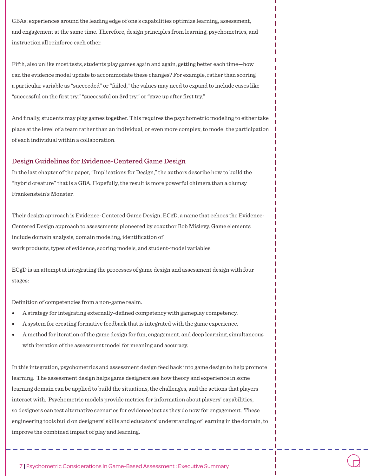GBAs: experiences around the leading edge of one's capabilities optimize learning, assessment, and engagement at the same time. Therefore, design principles from learning, psychometrics, and instruction all reinforce each other.

Fifth, also unlike most tests, students play games again and again, getting better each time—how can the evidence model update to accommodate these changes? For example, rather than scoring a particular variable as "succeeded" or "failed," the values may need to expand to include cases like "successful on the first try," "successful on 3rd try," or "gave up after first try."

And finally, students may play games together. This requires the psychometric modeling to either take place at the level of a team rather than an individual, or even more complex, to model the participation of each individual within a collaboration.

#### Design Guidelines for Evidence-Centered Game Design

In the last chapter of the paper, "Implications for Design," the authors describe how to build the "hybrid creature" that is a GBA. Hopefully, the result is more powerful chimera than a clumsy Frankenstein's Monster.

Their design approach is Evidence-Centered Game Design, ECgD, a name that echoes the Evidence-Centered Design approach to assessments pioneered by coauthor Bob Mislevy. Game elements include domain analysis, domain modeling, identification of work products, types of evidence, scoring models, and student-model variables.

ECgD is an attempt at integrating the processes of game design and assessment design with four stages:

Definition of competencies from a non-game realm.

- A strategy for integrating externally-defined competency with gameplay competency.
- A system for creating formative feedback that is integrated with the game experience.
- A method for iteration of the game design for fun, engagement, and deep learning, simultaneous with iteration of the assessment model for meaning and accuracy.

In this integration, psychometrics and assessment design feed back into game design to help promote learning. The assessment design helps game designers see how theory and experience in some learning domain can be applied to build the situations, the challenges, and the actions that players interact with. Psychometric models provide metrics for information about players' capabilities, so designers can test alternative scenarios for evidence just as they do now for engagement. These engineering tools build on designers' skills and educators' understanding of learning in the domain, to improve the combined impact of play and learning.